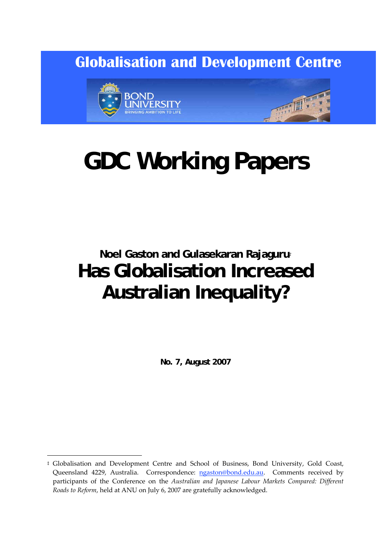**Globalisation and Development Centre** 



# **GDC Working Papers**

## **Noel Gaston and Gulasekaran Rajaguru***‡* **Has Globalisation Increased Australian Inequality?**

**No. 7, August 2007** 

<sup>‡</sup> Globalisation and Development Centre and School of Business, Bond University, Gold Coast, Queensland 4229, Australia. Correspondence: ngaston@bond.edu.au. Comments received by participants of the Conference on the *Australian and Japanese Labour Markets Compared: Different Roads to Reform*, held at ANU on July 6, 2007 are gratefully acknowledged.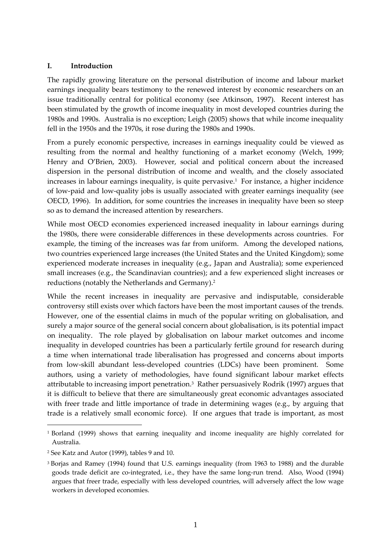#### **I. Introduction**

The rapidly growing literature on the personal distribution of income and labour market earnings inequality bears testimony to the renewed interest by economic researchers on an issue traditionally central for political economy (see Atkinson, 1997). Recent interest has been stimulated by the growth of income inequality in most developed countries during the 1980s and 1990s. Australia is no exception; Leigh (2005) shows that while income inequality fell in the 1950s and the 1970s, it rose during the 1980s and 1990s.

From a purely economic perspective, increases in earnings inequality could be viewed as resulting from the normal and healthy functioning of a market economy (Welch, 1999; Henry and O'Brien, 2003). However, social and political concern about the increased dispersion in the personal distribution of income and wealth, and the closely associated increases in labour earnings inequality, is quite pervasive.<sup>1</sup> For instance, a higher incidence of low‐paid and low‐quality jobs is usually associated with greater earnings inequality (see OECD, 1996). In addition, for some countries the increases in inequality have been so steep so as to demand the increased attention by researchers.

While most OECD economies experienced increased inequality in labour earnings during the 1980s, there were considerable differences in these developments across countries. For example, the timing of the increases was far from uniform. Among the developed nations, two countries experienced large increases (the United States and the United Kingdom); some experienced moderate increases in inequality (e.g., Japan and Australia); some experienced small increases (e.g., the Scandinavian countries); and a few experienced slight increases or reductions (notably the Netherlands and Germany).2

While the recent increases in inequality are pervasive and indisputable, considerable controversy still exists over which factors have been the most important causes of the trends. However, one of the essential claims in much of the popular writing on globalisation, and surely a major source of the general social concern about globalisation, is its potential impact on inequality. The role played by globalisation on labour market outcomes and income inequality in developed countries has been a particularly fertile ground for research during a time when international trade liberalisation has progressed and concerns about imports from low-skill abundant less-developed countries (LDCs) have been prominent. Some authors, using a variety of methodologies, have found significant labour market effects attributable to increasing import penetration.3 Rather persuasively Rodrik (1997) argues that it is difficult to believe that there are simultaneously great economic advantages associated with freer trade and little importance of trade in determining wages (e.g., by arguing that trade is a relatively small economic force). If one argues that trade is important, as most

<u>.</u>

<sup>1</sup> Borland (1999) shows that earning inequality and income inequality are highly correlated for Australia.

<sup>2</sup> See Katz and Autor (1999), tables 9 and 10.

<sup>3</sup> Borjas and Ramey (1994) found that U.S. earnings inequality (from 1963 to 1988) and the durable goods trade deficit are co-integrated, i.e., they have the same long-run trend. Also, Wood (1994) argues that freer trade, especially with less developed countries, will adversely affect the low wage workers in developed economies.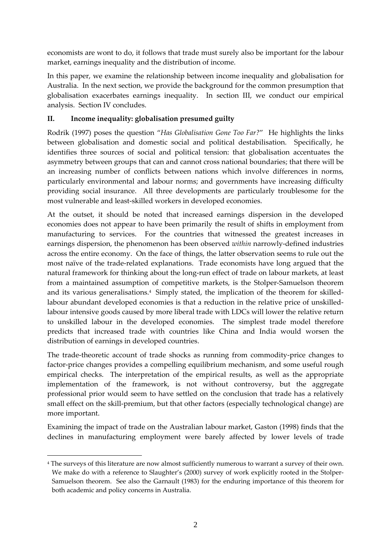economists are wont to do, it follows that trade must surely also be important for the labour market, earnings inequality and the distribution of income.

In this paper, we examine the relationship between income inequality and globalisation for Australia. In the next section, we provide the background for the common presumption that globalisation exacerbates earnings inequality. In section III, we conduct our empirical analysis. Section IV concludes.

#### **II. Income inequality: globalisation presumed guilty**

Rodrik (1997) poses the question "*Has Globalisation Gone Too Far?*" He highlights the links between globalisation and domestic social and political destabilisation. Specifically, he identifies three sources of social and political tension: that globalisation accentuates the asymmetry between groups that can and cannot cross national boundaries; that there will be an increasing number of conflicts between nations which involve differences in norms, particularly environmental and labour norms; and governments have increasing difficulty providing social insurance. All three developments are particularly troublesome for the most vulnerable and least‐skilled workers in developed economies.

At the outset, it should be noted that increased earnings dispersion in the developed economies does not appear to have been primarily the result of shifts in employment from manufacturing to services. For the countries that witnessed the greatest increases in earnings dispersion, the phenomenon has been observed *within* narrowly‐defined industries across the entire economy. On the face of things, the latter observation seems to rule out the most naïve of the trade‐related explanations. Trade economists have long argued that the natural framework for thinking about the long‐run effect of trade on labour markets, at least from a maintained assumption of competitive markets, is the Stolper‐Samuelson theorem and its various generalisations.<sup>4</sup> Simply stated, the implication of the theorem for skilledlabour abundant developed economies is that a reduction in the relative price of unskilled‐ labour intensive goods caused by more liberal trade with LDCs will lower the relative return to unskilled labour in the developed economies. The simplest trade model therefore predicts that increased trade with countries like China and India would worsen the distribution of earnings in developed countries.

The trade-theoretic account of trade shocks as running from commodity-price changes to factor-price changes provides a compelling equilibrium mechanism, and some useful rough empirical checks. The interpretation of the empirical results, as well as the appropriate implementation of the framework, is not without controversy, but the aggregate professional prior would seem to have settled on the conclusion that trade has a relatively small effect on the skill-premium, but that other factors (especially technological change) are more important.

Examining the impact of trade on the Australian labour market, Gaston (1998) finds that the declines in manufacturing employment were barely affected by lower levels of trade

<sup>4</sup> The surveys of this literature are now almost sufficiently numerous to warrant a survey of their own. We make do with a reference to Slaughter's (2000) survey of work explicitly rooted in the Stolper-Samuelson theorem. See also the Garnault (1983) for the enduring importance of this theorem for both academic and policy concerns in Australia.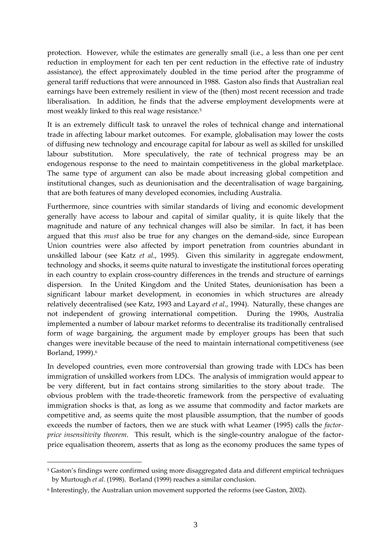protection. However, while the estimates are generally small (i.e., a less than one per cent reduction in employment for each ten per cent reduction in the effective rate of industry assistance), the effect approximately doubled in the time period after the programme of general tariff reductions that were announced in 1988. Gaston also finds that Australian real earnings have been extremely resilient in view of the (then) most recent recession and trade liberalisation. In addition, he finds that the adverse employment developments were at most weakly linked to this real wage resistance.5

It is an extremely difficult task to unravel the roles of technical change and international trade in affecting labour market outcomes. For example, globalisation may lower the costs of diffusing new technology and encourage capital for labour as well as skilled for unskilled labour substitution. More speculatively, the rate of technical progress may be an endogenous response to the need to maintain competitiveness in the global marketplace. The same type of argument can also be made about increasing global competition and institutional changes, such as deunionisation and the decentralisation of wage bargaining, that are both features of many developed economies, including Australia.

Furthermore, since countries with similar standards of living and economic development generally have access to labour and capital of similar quality, it is quite likely that the magnitude and nature of any technical changes will also be similar. In fact, it has been argued that this *must* also be true for any changes on the demand‐side, since European Union countries were also affected by import penetration from countries abundant in unskilled labour (see Katz *et al*., 1995). Given this similarity in aggregate endowment, technology and shocks, it seems quite natural to investigate the institutional forces operating in each country to explain cross‐country differences in the trends and structure of earnings dispersion. In the United Kingdom and the United States, deunionisation has been a significant labour market development, in economies in which structures are already relatively decentralised (see Katz, 1993 and Layard *et al*., 1994). Naturally, these changes are not independent of growing international competition. During the 1990s, Australia implemented a number of labour market reforms to decentralise its traditionally centralised form of wage bargaining, the argument made by employer groups has been that such changes were inevitable because of the need to maintain international competitiveness (see Borland, 1999).<sup>6</sup>

In developed countries, even more controversial than growing trade with LDCs has been immigration of unskilled workers from LDCs. The analysis of immigration would appear to be very different, but in fact contains strong similarities to the story about trade. The obvious problem with the trade‐theoretic framework from the perspective of evaluating immigration shocks is that, as long as we assume that commodity and factor markets are competitive and, as seems quite the most plausible assumption, that the number of goods exceeds the number of factors, then we are stuck with what Leamer (1995) calls the *factor‐ price insensitivity theorem*. This result, which is the single-country analogue of the factorprice equalisation theorem, asserts that as long as the economy produces the same types of

<sup>5</sup> Gaston's findings were confirmed using more disaggregated data and different empirical techniques by Murtough *et al.* (1998). Borland (1999) reaches a similar conclusion.

<sup>6</sup> Interestingly, the Australian union movement supported the reforms (see Gaston, 2002).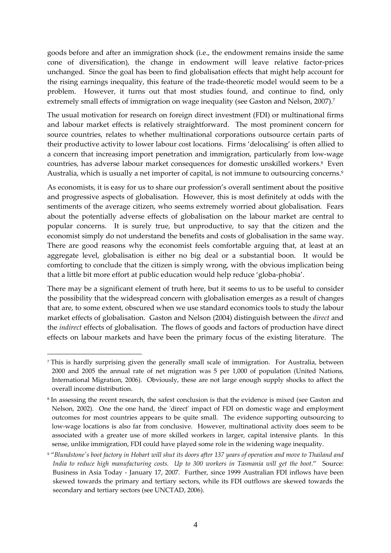goods before and after an immigration shock (i.e., the endowment remains inside the same cone of diversification), the change in endowment will leave relative factor-prices unchanged. Since the goal has been to find globalisation effects that might help account for the rising earnings inequality, this feature of the trade‐theoretic model would seem to be a problem. However, it turns out that most studies found, and continue to find, only extremely small effects of immigration on wage inequality (see Gaston and Nelson, 2007).<sup>7</sup>

The usual motivation for research on foreign direct investment (FDI) or multinational firms and labour market effects is relatively straightforward. The most prominent concern for source countries, relates to whether multinational corporations outsource certain parts of their productive activity to lower labour cost locations. Firms 'delocalising' is often allied to a concern that increasing import penetration and immigration, particularly from low‐wage countries, has adverse labour market consequences for domestic unskilled workers.<sup>8</sup> Even Australia, which is usually a net importer of capital, is not immune to outsourcing concerns.<sup>9</sup>

As economists, it is easy for us to share our profession's overall sentiment about the positive and progressive aspects of globalisation. However, this is most definitely at odds with the sentiments of the average citizen, who seems extremely worried about globalisation. Fears about the potentially adverse effects of globalisation on the labour market are central to popular concerns. It is surely true, but unproductive, to say that the citizen and the economist simply do not understand the benefits and costs of globalisation in the same way. There are good reasons why the economist feels comfortable arguing that, at least at an aggregate level, globalisation is either no big deal or a substantial boon. It would be comforting to conclude that the citizen is simply wrong, with the obvious implication being that a little bit more effort at public education would help reduce 'globa‐phobia'.

There may be a significant element of truth here, but it seems to us to be useful to consider the possibility that the widespread concern with globalisation emerges as a result of changes that are, to some extent, obscured when we use standard economics tools to study the labour market effects of globalisation. Gaston and Nelson (2004) distinguish between the *direct* and the *indirect* effects of globalisation. The flows of goods and factors of production have direct effects on labour markets and have been the primary focus of the existing literature. The

<sup>&</sup>lt;sup>7</sup> This is hardly surprising given the generally small scale of immigration. For Australia, between 2000 and 2005 the annual rate of net migration was 5 per 1,000 of population (United Nations, International Migration, 2006). Obviously, these are not large enough supply shocks to affect the overall income distribution.

<sup>8</sup> In assessing the recent research, the safest conclusion is that the evidence is mixed (see Gaston and Nelson, 2002). One the one hand, the 'direct' impact of FDI on domestic wage and employment outcomes for most countries appears to be quite small. The evidence supporting outsourcing to low-wage locations is also far from conclusive. However, multinational activity does seem to be associated with a greater use of more skilled workers in larger, capital intensive plants. In this sense, unlike immigration, FDI could have played some role in the widening wage inequality.

<sup>&</sup>lt;sup>9</sup> "Blundstone's boot factory in Hobart will shut its doors after 137 years of operation and move to Thailand and *India to reduce high manufacturing costs. Up to 300 workers in Tasmania will get the boot*." Source: Business in Asia Today ‐ January 17, 2007. Further, since 1999 Australian FDI inflows have been skewed towards the primary and tertiary sectors, while its FDI outflows are skewed towards the secondary and tertiary sectors (see UNCTAD, 2006).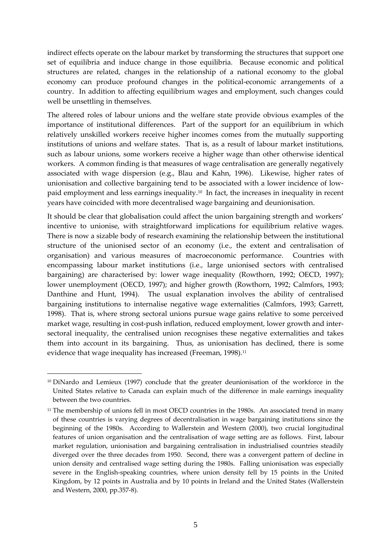indirect effects operate on the labour market by transforming the structures that support one set of equilibria and induce change in those equilibria. Because economic and political structures are related, changes in the relationship of a national economy to the global economy can produce profound changes in the political-economic arrangements of a country. In addition to affecting equilibrium wages and employment, such changes could well be unsettling in themselves.

The altered roles of labour unions and the welfare state provide obvious examples of the importance of institutional differences. Part of the support for an equilibrium in which relatively unskilled workers receive higher incomes comes from the mutually supporting institutions of unions and welfare states. That is, as a result of labour market institutions, such as labour unions, some workers receive a higher wage than other otherwise identical workers. A common finding is that measures of wage centralisation are generally negatively associated with wage dispersion (e.g., Blau and Kahn, 1996). Likewise, higher rates of unionisation and collective bargaining tend to be associated with a lower incidence of lowpaid employment and less earnings inequality.10 In fact, the increases in inequality in recent years have coincided with more decentralised wage bargaining and deunionisation.

It should be clear that globalisation could affect the union bargaining strength and workers' incentive to unionise, with straightforward implications for equilibrium relative wages. There is now a sizable body of research examining the relationship between the institutional structure of the unionised sector of an economy (i.e., the extent and centralisation of organisation) and various measures of macroeconomic performance. Countries with encompassing labour market institutions (i.e., large unionised sectors with centralised bargaining) are characterised by: lower wage inequality (Rowthorn, 1992; OECD, 1997); lower unemployment (OECD, 1997); and higher growth (Rowthorn, 1992; Calmfors, 1993; Danthine and Hunt, 1994). The usual explanation involves the ability of centralised bargaining institutions to internalise negative wage externalities (Calmfors, 1993; Garrett, 1998). That is, where strong sectoral unions pursue wage gains relative to some perceived market wage, resulting in cost-push inflation, reduced employment, lower growth and intersectoral inequality, the centralised union recognises these negative externalities and takes them into account in its bargaining. Thus, as unionisation has declined, there is some evidence that wage inequality has increased (Freeman, 1998).<sup>11</sup>

<sup>10</sup> DiNardo and Lemieux (1997) conclude that the greater deunionisation of the workforce in the United States relative to Canada can explain much of the difference in male earnings inequality between the two countries.

<sup>&</sup>lt;sup>11</sup> The membership of unions fell in most OECD countries in the 1980s. An associated trend in many of these countries is varying degrees of decentralisation in wage bargaining institutions since the beginning of the 1980s. According to Wallerstein and Western (2000), two crucial longitudinal features of union organisation and the centralisation of wage setting are as follows. First, labour market regulation, unionisation and bargaining centralisation in industrialised countries steadily diverged over the three decades from 1950. Second, there was a convergent pattern of decline in union density and centralised wage setting during the 1980s. Falling unionisation was especially severe in the English-speaking countries, where union density fell by 15 points in the United Kingdom, by 12 points in Australia and by 10 points in Ireland and the United States (Wallerstein and Western, 2000, pp.357‐8).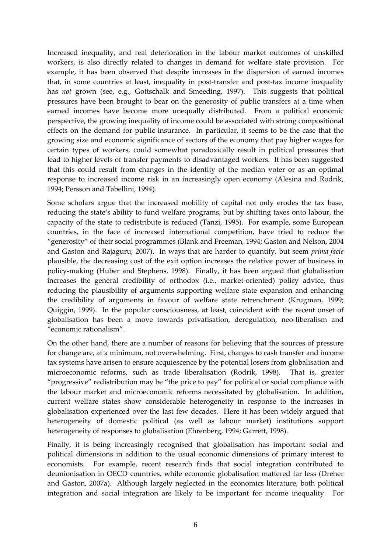Increased inequality, and real deterioration in the labour market outcomes of unskilled workers, is also directly related to changes in demand for welfare state provision. For example, it has been observed that despite increases in the dispersion of earned incomes that, in some countries at least, inequality in post‐transfer and post‐tax income inequality has *not* grown (see, e.g., Gottschalk and Smeeding, 1997). This suggests that political pressures have been brought to bear on the generosity of public transfers at a time when earned incomes have become more unequally distributed. From a political economic perspective, the growing inequality of income could be associated with strong compositional effects on the demand for public insurance. In particular, it seems to be the case that the growing size and economic significance of sectors of the economy that pay higher wages for certain types of workers, could somewhat paradoxically result in political pressures that lead to higher levels of transfer payments to disadvantaged workers. It has been suggested that this could result from changes in the identity of the median voter or as an optimal response to increased income risk in an increasingly open economy (Alesina and Rodrik, 1994; Persson and Tabellini, 1994).

Some scholars argue that the increased mobility of capital not only erodes the tax base, reducing the state's ability to fund welfare programs, but by shifting taxes onto labour, the capacity of the state to redistribute is reduced (Tanzi, 1995). For example, some European countries, in the face of increased international competition, have tried to reduce the "generosity" of their social programmes (Blank and Freeman, 1994; Gaston and Nelson, 2004 and Gaston and Rajaguru, 2007). In ways that are harder to quantify, but seem *prima facie* plausible, the decreasing cost of the exit option increases the relative power of business in policy-making (Huber and Stephens, 1998). Finally, it has been argued that globalisation increases the general credibility of orthodox (i.e., market-oriented) policy advice, thus reducing the plausibility of arguments supporting welfare state expansion and enhancing the credibility of arguments in favour of welfare state retrenchment (Krugman, 1999; Quiggin, 1999). In the popular consciousness, at least, coincident with the recent onset of globalisation has been a move towards privatisation, deregulation, neo‐liberalism and "economic rationalism".

On the other hand, there are a number of reasons for believing that the sources of pressure for change are, at a minimum, not overwhelming. First, changes to cash transfer and income tax systems have arisen to ensure acquiescence by the potential losers from globalisation and microeconomic reforms, such as trade liberalisation (Rodrik, 1998). That is, greater "progressive" redistribution may be "the price to pay" for political or social compliance with the labour market and microeconomic reforms necessitated by globalisation. In addition, current welfare states show considerable heterogeneity in response to the increases in globalisation experienced over the last few decades. Here it has been widely argued that heterogeneity of domestic political (as well as labour market) institutions support heterogeneity of responses to globalisation (Ehrenberg, 1994; Garrett, 1998).

Finally, it is being increasingly recognised that globalisation has important social and political dimensions in addition to the usual economic dimensions of primary interest to economists. For example, recent research finds that social integration contributed to deunionisation in OECD countries, while economic globalisation mattered far less (Dreher and Gaston, 2007a). Although largely neglected in the economics literature, both political integration and social integration are likely to be important for income inequality. For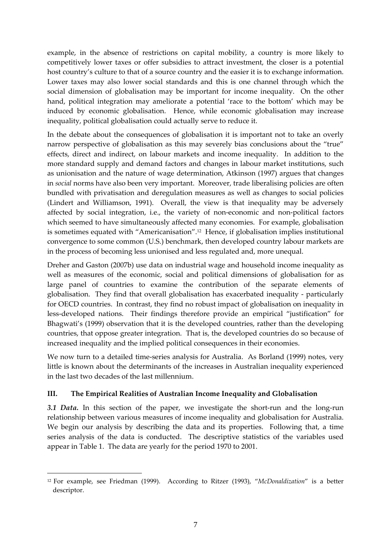example, in the absence of restrictions on capital mobility, a country is more likely to competitively lower taxes or offer subsidies to attract investment, the closer is a potential host country's culture to that of a source country and the easier it is to exchange information. Lower taxes may also lower social standards and this is one channel through which the social dimension of globalisation may be important for income inequality. On the other hand, political integration may ameliorate a potential 'race to the bottom' which may be induced by economic globalisation. Hence, while economic globalisation may increase inequality, political globalisation could actually serve to reduce it.

In the debate about the consequences of globalisation it is important not to take an overly narrow perspective of globalisation as this may severely bias conclusions about the "true" effects, direct and indirect, on labour markets and income inequality. In addition to the more standard supply and demand factors and changes in labour market institutions, such as unionisation and the nature of wage determination, Atkinson (1997) argues that changes in *social* norms have also been very important. Moreover, trade liberalising policies are often bundled with privatisation and deregulation measures as well as changes to social policies (Lindert and Williamson, 1991). Overall, the view is that inequality may be adversely affected by social integration, i.e., the variety of non‐economic and non‐political factors which seemed to have simultaneously affected many economies. For example, globalisation is sometimes equated with "Americanisation".12 Hence, if globalisation implies institutional convergence to some common (U.S.) benchmark, then developed country labour markets are in the process of becoming less unionised and less regulated and, more unequal.

Dreher and Gaston (2007b) use data on industrial wage and household income inequality as well as measures of the economic, social and political dimensions of globalisation for as large panel of countries to examine the contribution of the separate elements of globalisation. They find that overall globalisation has exacerbated inequality ‐ particularly for OECD countries. In contrast, they find no robust impact of globalisation on inequality in less‐developed nations. Their findings therefore provide an empirical "justification" for Bhagwati's (1999) observation that it is the developed countries, rather than the developing countries, that oppose greater integration. That is, the developed countries do so because of increased inequality and the implied political consequences in their economies.

We now turn to a detailed time-series analysis for Australia. As Borland (1999) notes, very little is known about the determinants of the increases in Australian inequality experienced in the last two decades of the last millennium.

#### **III. The Empirical Realities of Australian Income Inequality and Globalisation**

3.1 *Data*. In this section of the paper, we investigate the short-run and the long-run relationship between various measures of income inequality and globalisation for Australia. We begin our analysis by describing the data and its properties. Following that, a time series analysis of the data is conducted. The descriptive statistics of the variables used appear in Table 1. The data are yearly for the period 1970 to 2001.

<sup>12</sup> For example, see Friedman (1999). According to Ritzer (1993), "*McDonaldization*" is a better descriptor.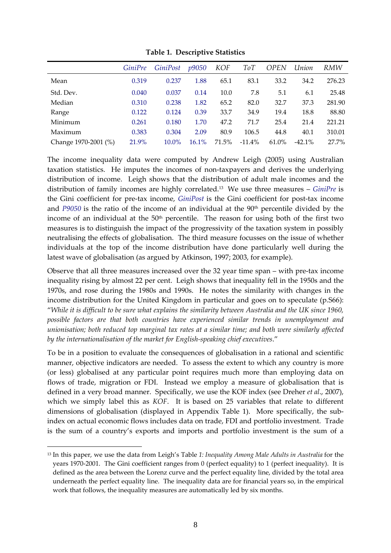|                      | GiniPre | <i>GiniPost</i> | <i>p9050</i> | <b>KOF</b> | ToT       | <b>OPEN</b> | Union     | <b>RMW</b> |
|----------------------|---------|-----------------|--------------|------------|-----------|-------------|-----------|------------|
| Mean                 | 0.319   | 0.237           | 1.88         | 65.1       | 83.1      | 33.2        | 34.2      | 276.23     |
| Std. Dev.            | 0.040   | 0.037           | 0.14         | 10.0       | 7.8       | 5.1         | 6.1       | 25.48      |
| Median               | 0.310   | 0.238           | 1.82         | 65.2       | 82.0      | 32.7        | 37.3      | 281.90     |
| Range                | 0.122   | 0.124           | 0.39         | 33.7       | 34.9      | 19.4        | 18.8      | 88.80      |
| Minimum              | 0.261   | 0.180           | 1.70         | 47.2       | 71.7      | 25.4        | 21.4      | 221.21     |
| Maximum              | 0.383   | 0.304           | 2.09         | 80.9       | 106.5     | 44.8        | 40.1      | 310.01     |
| Change 1970-2001 (%) | 21.9%   | $10.0\%$        | 16.1%        | 71.5%      | $-11.4\%$ | 61.0%       | $-42.1\%$ | 27.7%      |

**Table 1. Descriptive Statistics**

The income inequality data were computed by Andrew Leigh (2005) using Australian taxation statistics. He imputes the incomes of non-taxpayers and derives the underlying distribution of income. Leigh shows that the distribution of adult male incomes and the distribution of family incomes are highly correlated.13 We use three measures – *GiniPre* is the Gini coefficient for pre-tax income, *GiniPost* is the Gini coefficient for post-tax income and *P9050* is the ratio of the income of an individual at the 90<sup>th</sup> percentile divided by the income of an individual at the  $50<sup>th</sup>$  percentile. The reason for using both of the first two measures is to distinguish the impact of the progressivity of the taxation system in possibly neutralising the effects of globalisation. The third measure focusses on the issue of whether individuals at the top of the income distribution have done particularly well during the latest wave of globalisation (as argued by Atkinson, 1997; 2003, for example).

Observe that all three measures increased over the 32 year time span – with pre‐tax income inequality rising by almost 22 per cent. Leigh shows that inequality fell in the 1950s and the 1970s, and rose during the 1980s and 1990s. He notes the similarity with changes in the income distribution for the United Kingdom in particular and goes on to speculate (p.S66): "While it is difficult to be sure what explains the similarity between Australia and the UK since 1960, *possible factors are that both countries have experienced similar trends in unemployment and unionisation; both reduced top marginal tax rates at a similar time; and both were similarly affected by the internationalisation of the market for English‐speaking chief executives*."

To be in a position to evaluate the consequences of globalisation in a rational and scientific manner, objective indicators are needed. To assess the extent to which any country is more (or less) globalised at any particular point requires much more than employing data on flows of trade, migration or FDI. Instead we employ a measure of globalisation that is defined in a very broad manner. Specifically, we use the KOF index (see Dreher *et al*., 2007), which we simply label this as *KOF*. It is based on 25 variables that relate to different dimensions of globalisation (displayed in Appendix Table 1). More specifically, the subindex on actual economic flows includes data on trade, FDI and portfolio investment. Trade is the sum of a country's exports and imports and portfolio investment is the sum of a

<u>.</u>

<sup>13</sup> In this paper, we use the data from Leigh's Table *1: Inequality Among Male Adults in Australia* for the years 1970-2001. The Gini coefficient ranges from 0 (perfect equality) to 1 (perfect inequality). It is defined as the area between the Lorenz curve and the perfect equality line, divided by the total area underneath the perfect equality line. The inequality data are for financial years so, in the empirical work that follows, the inequality measures are automatically led by six months.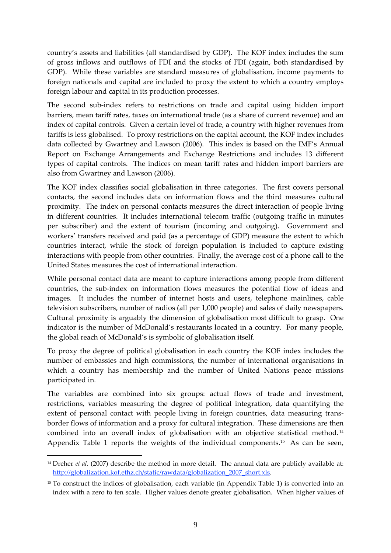country's assets and liabilities (all standardised by GDP). The KOF index includes the sum of gross inflows and outflows of FDI and the stocks of FDI (again, both standardised by GDP). While these variables are standard measures of globalisation, income payments to foreign nationals and capital are included to proxy the extent to which a country employs foreign labour and capital in its production processes.

The second sub-index refers to restrictions on trade and capital using hidden import barriers, mean tariff rates, taxes on international trade (as a share of current revenue) and an index of capital controls. Given a certain level of trade, a country with higher revenues from tariffs is less globalised. To proxy restrictions on the capital account, the KOF index includes data collected by Gwartney and Lawson (2006). This index is based on the IMF's Annual Report on Exchange Arrangements and Exchange Restrictions and includes 13 different types of capital controls. The indices on mean tariff rates and hidden import barriers are also from Gwartney and Lawson (2006).

The KOF index classifies social globalisation in three categories. The first covers personal contacts, the second includes data on information flows and the third measures cultural proximity. The index on personal contacts measures the direct interaction of people living in different countries. It includes international telecom traffic (outgoing traffic in minutes per subscriber) and the extent of tourism (incoming and outgoing). Government and workers' transfers received and paid (as a percentage of GDP) measure the extent to which countries interact, while the stock of foreign population is included to capture existing interactions with people from other countries. Finally, the average cost of a phone call to the United States measures the cost of international interaction.

While personal contact data are meant to capture interactions among people from different countries, the sub‐index on information flows measures the potential flow of ideas and images. It includes the number of internet hosts and users, telephone mainlines, cable television subscribers, number of radios (all per 1,000 people) and sales of daily newspapers. Cultural proximity is arguably the dimension of globalisation most difficult to grasp. One indicator is the number of McDonald's restaurants located in a country. For many people, the global reach of McDonald's is symbolic of globalisation itself.

To proxy the degree of political globalisation in each country the KOF index includes the number of embassies and high commissions, the number of international organisations in which a country has membership and the number of United Nations peace missions participated in.

The variables are combined into six groups: actual flows of trade and investment, restrictions, variables measuring the degree of political integration, data quantifying the extent of personal contact with people living in foreign countries, data measuring transborder flows of information and a proxy for cultural integration. These dimensions are then combined into an overall index of globalisation with an objective statistical method. <sup>14</sup> Appendix Table 1 reports the weights of the individual components.<sup>15</sup> As can be seen,

<sup>14</sup> Dreher *et al*. (2007) describe the method in more detail. The annual data are publicly available at: http://globalization.kof.ethz.ch/static/rawdata/globalization\_2007\_short.xls.

<sup>&</sup>lt;sup>15</sup> To construct the indices of globalisation, each variable (in Appendix Table 1) is converted into an index with a zero to ten scale. Higher values denote greater globalisation. When higher values of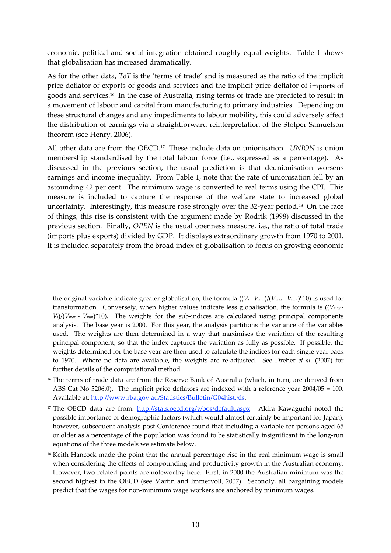economic, political and social integration obtained roughly equal weights. Table 1 shows that globalisation has increased dramatically.

As for the other data, *ToT* is the 'terms of trade' and is measured as the ratio of the implicit price deflator of exports of goods and services and the implicit price deflator of imports of goods and services.16 In the case of Australia, rising terms of trade are predicted to result in a movement of labour and capital from manufacturing to primary industries. Depending on these structural changes and any impediments to labour mobility, this could adversely affect the distribution of earnings via a straightforward reinterpretation of the Stolper‐Samuelson theorem (see Henry, 2006).

All other data are from the OECD.17 These include data on unionisation. *UNION* is union membership standardised by the total labour force (i.e., expressed as a percentage). As discussed in the previous section, the usual prediction is that deunionisation worsens earnings and income inequality. From Table 1, note that the rate of unionisation fell by an astounding 42 per cent. The minimum wage is converted to real terms using the CPI. This measure is included to capture the response of the welfare state to increased global uncertainty. Interestingly, this measure rose strongly over the 32-year period.<sup>18</sup> On the face of things, this rise is consistent with the argument made by Rodrik (1998) discussed in the previous section. Finally, *OPEN* is the usual openness measure, i.e., the ratio of total trade (imports plus exports) divided by GDP. It displays extraordinary growth from 1970 to 2001. It is included separately from the broad index of globalisation to focus on growing economic

the original variable indicate greater globalisation, the formula  $((V_i - V_{min})/(V_{max} - V_{min})^*10)$  is used for transformation. Conversely, when higher values indicate less globalisation, the formula is ((*Vmax ‐*   $V_i$ )/( $V_{max}$  *- V<sub>min</sub>*)\*10). The weights for the sub-indices are calculated using principal components analysis. The base year is 2000. For this year, the analysis partitions the variance of the variables used. The weights are then determined in a way that maximises the variation of the resulting principal component, so that the index captures the variation as fully as possible. If possible, the weights determined for the base year are then used to calculate the indices for each single year back to 1970. Where no data are available, the weights are re‐adjusted. See Dreher *et al*. (2007) for further details of the computational method.

<sup>&</sup>lt;sup>16</sup> The terms of trade data are from the Reserve Bank of Australia (which, in turn, are derived from ABS Cat No 5206.0). The implicit price deflators are indexed with a reference year 2004/05 = 100. Available at: http://www.rba.gov.au/Statistics/Bulletin/G04hist.xls.

<sup>&</sup>lt;sup>17</sup> The OECD data are from: http://stats.oecd.org/wbos/default.aspx. Akira Kawaguchi noted the possible importance of demographic factors (which would almost certainly be important for Japan), however, subsequent analysis post-Conference found that including a variable for persons aged 65 or older as a percentage of the population was found to be statistically insignificant in the long‐run equations of the three models we estimate below.

<sup>&</sup>lt;sup>18</sup> Keith Hancock made the point that the annual percentage rise in the real minimum wage is small when considering the effects of compounding and productivity growth in the Australian economy. However, two related points are noteworthy here. First, in 2000 the Australian minimum was the second highest in the OECD (see Martin and Immervoll, 2007). Secondly, all bargaining models predict that the wages for non-minimum wage workers are anchored by minimum wages.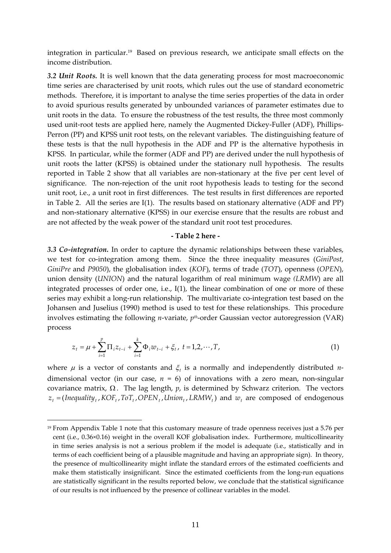integration in particular.19 Based on previous research, we anticipate small effects on the income distribution.

*3.2 Unit Roots.* It is well known that the data generating process for most macroeconomic time series are characterised by unit roots, which rules out the use of standard econometric methods. Therefore, it is important to analyse the time series properties of the data in order to avoid spurious results generated by unbounded variances of parameter estimates due to unit roots in the data. To ensure the robustness of the test results, the three most commonly used unit-root tests are applied here, namely the Augmented Dickey-Fuller (ADF), Phillips-Perron (PP) and KPSS unit root tests, on the relevant variables. The distinguishing feature of these tests is that the null hypothesis in the ADF and PP is the alternative hypothesis in KPSS. In particular, while the former (ADF and PP) are derived under the null hypothesis of unit roots the latter (KPSS) is obtained under the stationary null hypothesis. The results reported in Table 2 show that all variables are non‐stationary at the five per cent level of significance. The non-rejection of the unit root hypothesis leads to testing for the second unit root, i.e., a unit root in first differences. The test results in first differences are reported in Table 2. All the series are I(1). The results based on stationary alternative (ADF and PP) and non-stationary alternative (KPSS) in our exercise ensure that the results are robust and are not affected by the weak power of the standard unit root test procedures.

#### **‐ Table 2 here ‐**

*3.3 Co‐integration.* In order to capture the dynamic relationships between these variables, we test for co-integration among them. Since the three inequality measures (*GiniPost*, *GiniPre* and *P9050*), the globalisation index (*KOF*), terms of trade (*TOT*), openness (*OPEN*), union density (*UNION*) and the natural logarithm of real minimum wage *(LRMW*) are all integrated processes of order one, i.e., I(1), the linear combination of one or more of these series may exhibit a long-run relationship. The multivariate co-integration test based on the Johansen and Juselius (1990) method is used to test for these relationships. This procedure involves estimating the following *n*-variate,  $p^{th}$ -order Gaussian vector autoregression (VAR) process

$$
z_{t} = \mu + \sum_{i=1}^{p} \Pi_{i} z_{t-i} + \sum_{i=1}^{k} \Phi_{i} w_{t-i} + \xi_{t}, \ t = 1, 2, \cdots, T,
$$
\n(1)

where  $\mu$  is a vector of constants and  $\xi_t$  is a normally and independently distributed *n*dimensional vector (in our case,  $n = 6$ ) of innovations with a zero mean, non-singular covariance matrix, Ω . The lag length, *p*, is determined by Schwarz criterion. The vectors  $z_t = (Inequality_t, KOF_t, ToT_t, OPER_t, Union_t, LRMW_t)$  and  $w_t$  are composed of endogenous

<sup>&</sup>lt;sup>19</sup> From Appendix Table 1 note that this customary measure of trade openness receives just a 5.76 per cent (i.e., 0.36×0.16) weight in the overall KOF globalisation index. Furthermore, multicollinearity in time series analysis is not a serious problem if the model is adequate (i.e., statistically and in terms of each coefficient being of a plausible magnitude and having an appropriate sign). In theory, the presence of multicollinearity might inflate the standard errors of the estimated coefficients and make them statistically insignificant. Since the estimated coefficients from the long-run equations are statistically significant in the results reported below, we conclude that the statistical significance of our results is not influenced by the presence of collinear variables in the model.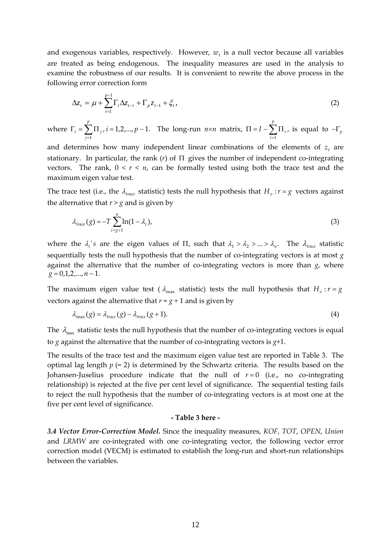and exogenous variables, respectively. However,  $w_t$  is a null vector because all variables are treated as being endogenous. The inequality measures are used in the analysis to examine the robustness of our results. It is convenient to rewrite the above process in the following error correction form

$$
\Delta z_{t} = \mu + \sum_{i=1}^{p-1} \Gamma_{i} \Delta z_{t-i} + \Gamma_{p} z_{t-1} + \xi_{t},
$$
\n(2)

where  $\Gamma_i = \sum_i \prod_j i = 1,2,..., p-1$ .  $\Gamma_i = \sum_{j=1}^{n} \Pi_j$  ,  $i = 1, 2, ..., p-1$ *i* = 1,2,..., *p p j*  $\sum_{i}$  =  $\sum \prod_{j}$ , *i* = 1,2,..., *p* - 1. The long-run *n*×*n* matrix,  $\Pi$  = *I* -  $\sum \prod_{i}$ ,  $\Pi = I - \sum_{i=1}^{I} \Pi$ *p i*  $I - \sum \Pi_i$ , is equal to  $-\Gamma_p$ 

and determines how many independent linear combinations of the elements of  $z_t$  are stationary. In particular, the rank  $(r)$  of  $\Pi$  gives the number of independent co-integrating vectors. The rank,  $0 < r < n$ , can be formally tested using both the trace test and the maximum eigen value test.

The trace test (i.e., the  $\lambda_{\text{trace}}$  statistic) tests the null hypothesis that  $H_o: r = g$  vectors against the alternative that  $r > g$  and is given by

$$
\lambda_{\text{trace}}(g) = -T \sum_{i=g+1}^{n} \ln(1 - \lambda_i), \tag{3}
$$

where the  $\lambda_i$ 's are the eigen values of  $\Pi$ , such that  $\lambda_1 > \lambda_2 > ... > \lambda_n$ . The  $\lambda_{trace}$  statistic sequentially tests the null hypothesis that the number of co-integrating vectors is at most  $g$ against the alternative that the number of co-integrating vectors is more than *g*, where  $g = 0,1,2,...,n-1$ .

The maximum eigen value test ( $\lambda_{\text{max}}$  statistic) tests the null hypothesis that  $H_o: r = g$ vectors against the alternative that  $r = g + 1$  and is given by

$$
\lambda_{\max}(g) = \lambda_{\text{trace}}(g) - \lambda_{\text{trace}}(g+1). \tag{4}
$$

The  $\lambda_{\text{max}}$  statistic tests the null hypothesis that the number of co-integrating vectors is equal to  $g$  against the alternative that the number of co-integrating vectors is  $g+1$ .

The results of the trace test and the maximum eigen value test are reported in Table 3. The optimal lag length  $p (= 2)$  is determined by the Schwartz criteria. The results based on the Johansen-Juselius procedure indicate that the null of  $r = 0$  (i.e., no co-integrating relationship) is rejected at the five per cent level of significance. The sequential testing fails to reject the null hypothesis that the number of co‐integrating vectors is at most one at the five per cent level of significance.

#### **‐ Table 3 here ‐**

*3.4 Vector Error‐Correction Model.* Since the inequality measures, *KOF*, *TOT*, *OPEN*, *Union* and *LRMW* are co-integrated with one co-integrating vector, the following vector error correction model (VECM) is estimated to establish the long-run and short-run relationships between the variables.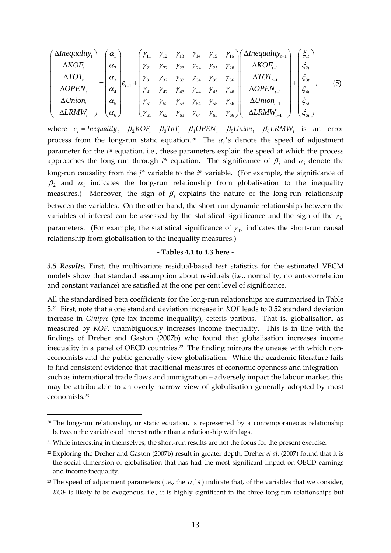$$
\begin{pmatrix}\n\Delta Inequality_{t} \\
\Delta KOF_{t} \\
\Delta TOT_{t} \\
\Delta OPEN_{t} \\
\Delta Union_{t} \\
\Delta LRMW_{t}\n\end{pmatrix} = \begin{pmatrix}\n\alpha_{1} \\
\alpha_{2} \\
\alpha_{3} \\
\alpha_{4} \\
\alpha_{5} \\
\alpha_{6}\n\end{pmatrix} e_{t-1} + \begin{pmatrix}\n\gamma_{11} & \gamma_{12} & \gamma_{13} & \gamma_{14} & \gamma_{15} & \gamma_{16} \\
\gamma_{21} & \gamma_{22} & \gamma_{23} & \gamma_{24} & \gamma_{25} & \gamma_{26} \\
\gamma_{31} & \gamma_{32} & \gamma_{33} & \gamma_{34} & \gamma_{35} & \gamma_{36} \\
\gamma_{41} & \gamma_{42} & \gamma_{43} & \gamma_{44} & \gamma_{45} & \gamma_{46} \\
\gamma_{51} & \gamma_{52} & \gamma_{53} & \gamma_{54} & \gamma_{55} & \gamma_{56} \\
\gamma_{61} & \gamma_{62} & \gamma_{63} & \gamma_{64} & \gamma_{65} & \gamma_{66}\n\end{pmatrix} \begin{pmatrix}\n\Delta Inequality_{t-1} \\
\Delta KOF_{t-1} \\
\Delta DCFN_{t-1} \\
\Delta OPEN_{t-1} \\
\Delta Union_{t-1} \\
\Delta LRMW_{t-1}\n\end{pmatrix} + \begin{pmatrix}\n\zeta_{1t} \\
\zeta_{2t} \\
\zeta_{3t} \\
\zeta_{4t} \\
\zeta_{5t} \\
\zeta_{6t}\n\end{pmatrix},
$$
\n(5)

where  $e_t = Inequality_t - \beta_2 KOF_t - \beta_3 ToT_t - \beta_4 OPEN_t - \beta_5 Union_t - \beta_6 LRMW_t$  is an error process from the long-run static equation.<sup>20</sup> The  $\alpha_i$ 's denote the speed of adjustment parameter for the *ith* equation, i.e., these parameters explain the speed at which the process approaches the long-run through  $i<sup>th</sup>$  equation. The significance of  $\beta_i$  and  $\alpha_i$  denote the long-run causality from the *j<sup>th</sup>* variable to the *i*<sup>th</sup> variable. (For example, the significance of  $\beta_2$  and  $\alpha_1$  indicates the long-run relationship from globalisation to the inequality measures.) Moreover, the sign of  $\beta_i$  explains the nature of the long-run relationship between the variables. On the other hand, the short-run dynamic relationships between the variables of interest can be assessed by the statistical significance and the sign of the  $\gamma_{ij}$ parameters. (For example, the statistical significance of  $\gamma_{12}$  indicates the short-run causal relationship from globalisation to the inequality measures.)

#### **‐ Tables 4.1 to 4.3 here ‐**

*3.5 Results.* First, the multivariate residual‐based test statistics for the estimated VECM models show that standard assumption about residuals (i.e., normality, no autocorrelation and constant variance) are satisfied at the one per cent level of significance.

All the standardised beta coefficients for the long-run relationships are summarised in Table 5.21 First, note that a one standard deviation increase in *KOF* leads to 0.52 standard deviation increase in *Ginipre* (pre-tax income inequality), ceteris paribus. That is, globalisation, as measured by *KOF*, unambiguously increases income inequality. This is in line with the findings of Dreher and Gaston (2007b) who found that globalisation increases income inequality in a panel of OECD countries.<sup>22</sup> The finding mirrors the unease with which noneconomists and the public generally view globalisation. While the academic literature fails to find consistent evidence that traditional measures of economic openness and integration – such as international trade flows and immigration – adversely impact the labour market, this may be attributable to an overly narrow view of globalisation generally adopted by most economists.23

 $20$  The long-run relationship, or static equation, is represented by a contemporaneous relationship between the variables of interest rather than a relationship with lags.

<sup>&</sup>lt;sup>21</sup> While interesting in themselves, the short-run results are not the focus for the present exercise.

<sup>22</sup> Exploring the Dreher and Gaston (2007b) result in greater depth, Dreher *et al*. (2007) found that it is the social dimension of globalisation that has had the most significant impact on OECD earnings and income inequality.

<sup>&</sup>lt;sup>23</sup> The speed of adjustment parameters (i.e., the  $\alpha$ <sup>'</sup> s) indicate that, of the variables that we consider, *KOF* is likely to be exogenous, i.e., it is highly significant in the three long-run relationships but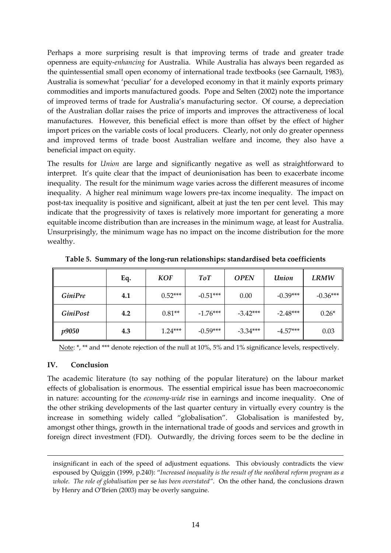Perhaps a more surprising result is that improving terms of trade and greater trade openness are equity‐*enhancing* for Australia. While Australia has always been regarded as the quintessential small open economy of international trade textbooks (see Garnault, 1983), Australia is somewhat 'peculiar' for a developed economy in that it mainly exports primary commodities and imports manufactured goods. Pope and Selten (2002) note the importance of improved terms of trade for Australia's manufacturing sector. Of course, a depreciation of the Australian dollar raises the price of imports and improves the attractiveness of local manufactures. However, this beneficial effect is more than offset by the effect of higher import prices on the variable costs of local producers. Clearly, not only do greater openness and improved terms of trade boost Australian welfare and income, they also have a beneficial impact on equity.

The results for *Union* are large and significantly negative as well as straightforward to interpret. It's quite clear that the impact of deunionisation has been to exacerbate income inequality. The result for the minimum wage varies across the different measures of income inequality. A higher real minimum wage lowers pre‐tax income inequality. The impact on post-tax inequality is positive and significant, albeit at just the ten per cent level. This may indicate that the progressivity of taxes is relatively more important for generating a more equitable income distribution than are increases in the minimum wage, at least for Australia. Unsurprisingly, the minimum wage has no impact on the income distribution for the more wealthy.

|                 | Eq. | <b>KOF</b> | ToT        | <b>OPEN</b> | Union      | <b>LRMW</b> |
|-----------------|-----|------------|------------|-------------|------------|-------------|
| <b>GiniPre</b>  | 4.1 | $0.52***$  | $-0.51***$ | 0.00        | $-0.39***$ | $-0.36***$  |
| <b>GiniPost</b> | 4.2 | $0.81**$   | $-1.76***$ | $-3.42***$  | $-2.48***$ | $0.26*$     |
| <i>p9050</i>    | 4.3 | $1.24***$  | $-0.59***$ | $-3.34***$  | $-4.57***$ | 0.03        |

**Table 5. Summary of the long‐run relationships: standardised beta coefficients**

Note: \*, \*\* and \*\*\* denote rejection of the null at 10%, 5% and 1% significance levels, respectively.

#### **IV. Conclusion**

1

The academic literature (to say nothing of the popular literature) on the labour market effects of globalisation is enormous. The essential empirical issue has been macroeconomic in nature: accounting for the *economy-wide* rise in earnings and income inequality. One of the other striking developments of the last quarter century in virtually every country is the increase in something widely called "globalisation". Globalisation is manifested by, amongst other things, growth in the international trade of goods and services and growth in foreign direct investment (FDI). Outwardly, the driving forces seem to be the decline in

insignificant in each of the speed of adjustment equations. This obviously contradicts the view espoused by Quiggin (1999, p.240): "*Increased inequality is the result of the neoliberal reform program as a whole. The role of globalisation* per se *has been overstated"*. On the other hand, the conclusions drawn by Henry and O'Brien (2003) may be overly sanguine.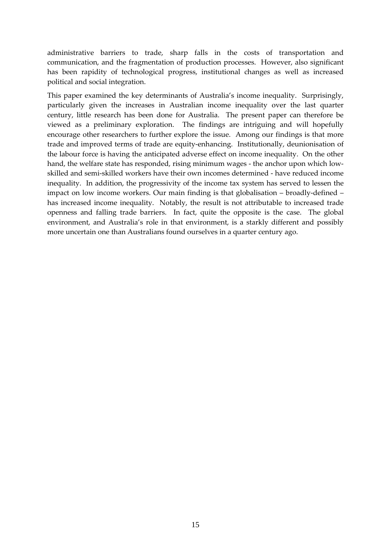administrative barriers to trade, sharp falls in the costs of transportation and communication, and the fragmentation of production processes. However, also significant has been rapidity of technological progress, institutional changes as well as increased political and social integration.

This paper examined the key determinants of Australia's income inequality. Surprisingly, particularly given the increases in Australian income inequality over the last quarter century, little research has been done for Australia. The present paper can therefore be viewed as a preliminary exploration. The findings are intriguing and will hopefully encourage other researchers to further explore the issue. Among our findings is that more trade and improved terms of trade are equity‐enhancing. Institutionally, deunionisation of the labour force is having the anticipated adverse effect on income inequality. On the other hand, the welfare state has responded, rising minimum wages - the anchor upon which lowskilled and semi‐skilled workers have their own incomes determined ‐ have reduced income inequality. In addition, the progressivity of the income tax system has served to lessen the impact on low income workers. Our main finding is that globalisation – broadly‐defined – has increased income inequality. Notably, the result is not attributable to increased trade openness and falling trade barriers. In fact, quite the opposite is the case. The global environment, and Australia's role in that environment, is a starkly different and possibly more uncertain one than Australians found ourselves in a quarter century ago.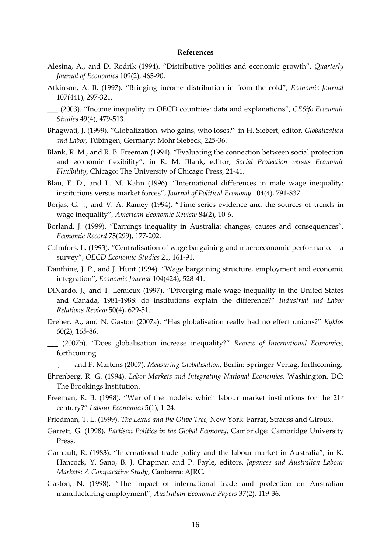#### **References**

- Alesina, A., and D. Rodrik (1994). "Distributive politics and economic growth", *Quarterly Journal of Economics* 109(2), 465‐90.
- Atkinson, A. B. (1997). "Bringing income distribution in from the cold", *Economic Journal* 107(441), 297‐321.
- \_\_\_ (2003). "Income inequality in OECD countries: data and explanations", *CESifo Economic Studies* 49(4), 479‐513.
- Bhagwati, J. (1999). "Globalization: who gains, who loses?" in H. Siebert, editor, *Globalization and Labor*, Tübingen, Germany: Mohr Siebeck, 225‐36.
- Blank, R. M., and R. B. Freeman (1994). "Evaluating the connection between social protection and economic flexibility", in R. M. Blank, editor, *Social Protection versus Economic Flexibility*, Chicago: The University of Chicago Press, 21‐41.
- Blau, F. D., and L. M. Kahn (1996). "International differences in male wage inequality: institutions versus market forces", *Journal of Political Economy* 104(4), 791‐837.
- Borjas, G. J., and V. A. Ramey (1994). "Time‐series evidence and the sources of trends in wage inequality", *American Economic Review* 84(2), 10‐6.
- Borland, J. (1999). "Earnings inequality in Australia: changes, causes and consequences", *Economic Record* 75(299), 177‐202.
- Calmfors, L. (1993). "Centralisation of wage bargaining and macroeconomic performance a survey", *OECD Economic Studies* 21, 161‐91.
- Danthine, J. P., and J. Hunt (1994). "Wage bargaining structure, employment and economic integration", *Economic Journal* 104(424), 528‐41.
- DiNardo, J., and T. Lemieux (1997). "Diverging male wage inequality in the United States and Canada, 1981‐1988: do institutions explain the difference?" *Industrial and Labor Relations Review* 50(4), 629‐51.
- Dreher, A., and N. Gaston (2007a). "Has globalisation really had no effect unions?" *Kyklos* 60(2), 165‐86.
- \_\_\_ (2007b). "Does globalisation increase inequality?" *Review of International Economics*, forthcoming.
- \_\_\_, \_\_\_ and P. Martens (2007). *Measuring Globalisation,* Berlin: Springer‐Verlag, forthcoming.
- Ehrenberg, R. G. (1994). *Labor Markets and Integrating National Economies*, Washington, DC: The Brookings Institution.
- Freeman, R. B. (1998). "War of the models: which labour market institutions for the 21<sup>st</sup> century?" *Labour Economics* 5(1), 1‐24.
- Friedman, T. L. (1999). *The Lexus and the Olive Tree,* New York: Farrar, Strauss and Giroux.
- Garrett, G. (1998). *Partisan Politics in the Global Economy*, Cambridge: Cambridge University Press.
- Garnault, R. (1983). "International trade policy and the labour market in Australia", in K. Hancock, Y. Sano, B. J. Chapman and P. Fayle, editors, *Japanese and Australian Labour Markets: A Comparative Study*, Canberra: AJRC.
- Gaston, N. (1998). "The impact of international trade and protection on Australian manufacturing employment", *Australian Economic Papers* 37(2), 119‐36.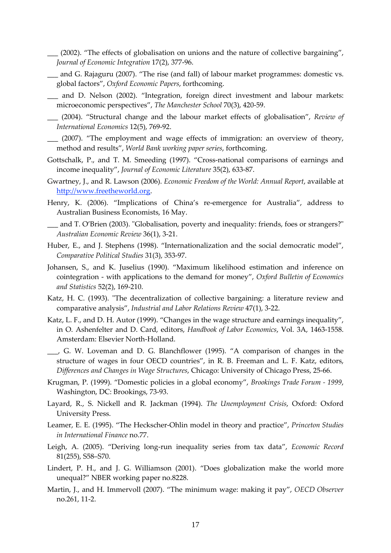- \_\_\_ (2002). "The effects of globalisation on unions and the nature of collective bargaining", *Journal of Economic Integration* 17(2), 377‐96.
- \_\_\_ and G. Rajaguru (2007). "The rise (and fall) of labour market programmes: domestic vs. global factors", *Oxford Economic Papers*, forthcoming.
- \_\_\_ and D. Nelson (2002). "Integration, foreign direct investment and labour markets: microeconomic perspectives", *The Manchester School* 70(3), 420‐59.
- \_\_\_ (2004). "Structural change and the labour market effects of globalisation", *Review of International Economics* 12(5), 769‐92.
- \_\_\_ (2007). "The employment and wage effects of immigration: an overview of theory, method and results", *World Bank working paper series*, forthcoming.
- Gottschalk, P., and T. M. Smeeding (1997). "Cross-national comparisons of earnings and income inequality", *Journal of Economic Literature* 35(2), 633‐87.
- Gwartney, J., and R. Lawson (2006). *Economic Freedom of the World: Annual Report*, available at http://www.freetheworld.org.
- Henry, K. (2006). "Implications of China's re-emergence for Australia", address to Australian Business Economists, 16 May.
- \_\_ and T. O'Brien (2003). "Globalisation, poverty and inequality: friends, foes or strangers?" *Australian Economic Review* 36(1), 3‐21.
- Huber, E., and J. Stephens (1998). "Internationalization and the social democratic model", *Comparative Political Studies* 31(3), 353‐97.
- Johansen, S., and K. Juselius (1990). "Maximum likelihood estimation and inference on cointegration ‐ with applications to the demand for money", *Oxford Bulletin of Economics and Statistics* 52(2), 169‐210.
- Katz, H. C. (1993). "The decentralization of collective bargaining: a literature review and comparative analysis", *Industrial and Labor Relations Review* 47(1), 3‐22.
- Katz, L. F., and D. H. Autor (1999). "Changes in the wage structure and earnings inequality", in O. Ashenfelter and D. Card, editors, *Handbook of Labor Economics*, Vol. 3A, 1463‐1558. Amsterdam: Elsevier North‐Holland.
- \_\_\_, G. W. Loveman and D. G. Blanchflower (1995). "A comparison of changes in the structure of wages in four OECD countries", in R. B. Freeman and L. F. Katz, editors, *Differences and Changes in Wage Structures*, Chicago: University of Chicago Press, 25‐66.
- Krugman, P. (1999). "Domestic policies in a global economy", *Brookings Trade Forum ‐ 1999*, Washington, DC: Brookings, 73‐93.
- Layard, R., S. Nickell and R. Jackman (1994). *The Unemployment Crisis*, Oxford: Oxford University Press.
- Leamer, E. E. (1995). "The Heckscher‐Ohlin model in theory and practice", *Princeton Studies in International Finance* no.77.
- Leigh, A. (2005). "Deriving long‐run inequality series from tax data", *Economic Record* 81(255), S58–S70.
- Lindert, P. H., and J. G. Williamson (2001). "Does globalization make the world more unequal?" NBER working paper no.8228.
- Martin, J., and H. Immervoll (2007). "The minimum wage: making it pay", *OECD Observer* no.261, 11‐2.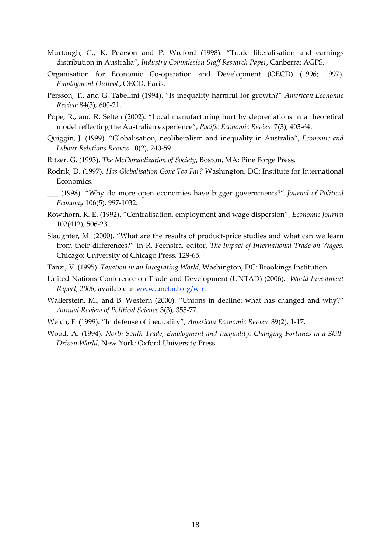- Murtough, G., K. Pearson and P. Wreford (1998). "Trade liberalisation and earnings distribution in Australia", *Industry Commission Staff Research Paper*, Canberra: AGPS.
- Organisation for Economic Co-operation and Development (OECD) (1996; 1997). *Employment Outlook*, OECD, Paris.
- Persson, T., and G. Tabellini (1994). "Is inequality harmful for growth?" *American Economic Review* 84(3), 600‐21.
- Pope, R., and R. Selten (2002). "Local manufacturing hurt by depreciations in a theoretical model reflecting the Australian experience", *Pacific Economic Review* 7(3), 403‐64.
- Quiggin, J. (1999). "Globalisation, neoliberalism and inequality in Australia", *Economic and Labour Relations Review* 10(2), 240‐59.
- Ritzer, G. (1993). *The McDonaldization of Society*, Boston, MA: Pine Forge Press.
- Rodrik, D. (1997). *Has Globalisation Gone Too Far?* Washington, DC: Institute for International Economics.
- \_\_\_ (1998). "Why do more open economies have bigger governments?" *Journal of Political Economy* 106(5), 997‐1032.
- Rowthorn, R. E. (1992). "Centralisation, employment and wage dispersion", *Economic Journal* 102(412), 506‐23.
- Slaughter, M. (2000). "What are the results of product-price studies and what can we learn from their differences?" in R. Feenstra, editor, *The Impact of International Trade on Wages*, Chicago: University of Chicago Press, 129‐65.
- Tanzi, V. (1995). *Taxation in an Integrating World,* Washington, DC: Brookings Institution.
- United Nations Conference on Trade and Development (UNTAD) (2006). *World Investment Report, 2006*, available at www.unctad.org/wir.
- Wallerstein, M., and B. Western (2000). "Unions in decline: what has changed and why?" *Annual Review of Political Science* 3(3), 355‐77.
- Welch, F. (1999). "In defense of inequality", *American Economic Review* 89(2), 1‐17.
- Wood, A. (1994). *North‐South Trade, Employment and Inequality: Changing Fortunes in a Skill‐ Driven World*, New York: Oxford University Press.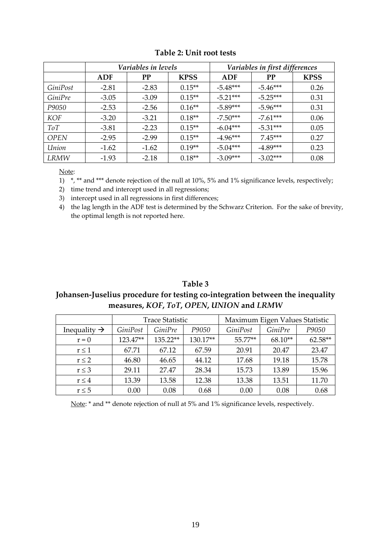|             | Variables in levels |           |             | Variables in first differences |            |             |
|-------------|---------------------|-----------|-------------|--------------------------------|------------|-------------|
|             | ADF                 | <b>PP</b> | <b>KPSS</b> | ADF                            | <b>PP</b>  | <b>KPSS</b> |
| GiniPost    | $-2.81$             | $-2.83$   | $0.15**$    | $-5.48***$                     | $-5.46***$ | 0.26        |
| GiniPre     | $-3.05$             | $-3.09$   | $0.15**$    | $-5.21***$                     | $-5.25***$ | 0.31        |
| P9050       | $-2.53$             | $-2.56$   | $0.16**$    | $-5.89***$                     | $-5.96***$ | 0.31        |
| KOF         | $-3.20$             | $-3.21$   | $0.18**$    | $-7.50***$                     | $-7.61***$ | 0.06        |
| ToT         | $-3.81$             | $-2.23$   | $0.15**$    | $-6.04***$                     | $-5.31***$ | 0.05        |
| <b>OPEN</b> | $-2.95$             | $-2.99$   | $0.15**$    | $-4.96***$                     | $7.45***$  | 0.27        |
| Union       | $-1.62$             | $-1.62$   | $0.19**$    | $-5.04***$                     | $-4.89***$ | 0.23        |
| LRMW        | $-1.93$             | $-2.18$   | $0.18**$    | $-3.09***$                     | $-3.02***$ | 0.08        |

#### **Table 2: Unit root tests**

Note:

1) \*, \*\* and \*\*\* denote rejection of the null at 10%, 5% and 1% significance levels, respectively;

2) time trend and intercept used in all regressions;

3) intercept used in all regressions in first differences;

4) the lag length in the ADF test is determined by the Schwarz Criterion. For the sake of brevity, the optimal length is not reported here.

#### **Table 3 Johansen‐Juselius procedure for testing co‐integration between the inequality measures,** *KOF***,** *ToT***,** *OPEN***,** *UNION* **and** *LRMW*

|                          | <b>Trace Statistic</b> |                |          | Maximum Eigen Values Statistic |                |           |
|--------------------------|------------------------|----------------|----------|--------------------------------|----------------|-----------|
| Inequality $\rightarrow$ | GiniPost               | <i>GiniPre</i> | P9050    | <i>GiniPost</i>                | <i>GiniPre</i> | P9050     |
| $r = 0$                  | 123.47**               | 135.22**       | 130.17** | 55.77**                        | $68.10**$      | $62.58**$ |
| r < 1                    | 67.71                  | 67.12          | 67.59    | 20.91                          | 20.47          | 23.47     |
| $r \leq 2$               | 46.80                  | 46.65          | 44.12    | 17.68                          | 19.18          | 15.78     |
| $r \leq 3$               | 29.11                  | 27.47          | 28.34    | 15.73                          | 13.89          | 15.96     |
| $r \leq 4$               | 13.39                  | 13.58          | 12.38    | 13.38                          | 13.51          | 11.70     |
| $r \leq 5$               | 0.00                   | 0.08           | 0.68     | 0.00                           | 0.08           | 0.68      |

Note: \* and \*\* denote rejection of null at 5% and 1% significance levels, respectively.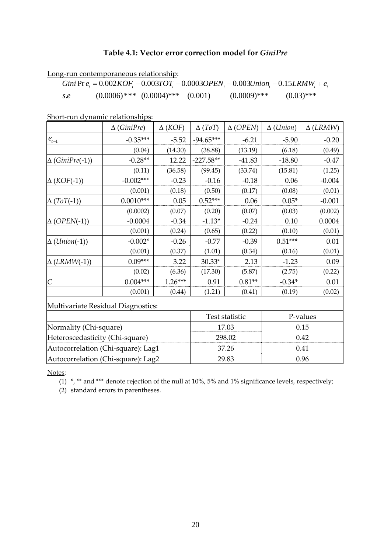#### **Table 4.1: Vector error correction model for** *GiniPre*

Long-run contemporaneous relationship:

Gini Pr 
$$
e_t = 0.002 KOF_t - 0.003 TOT_t - 0.0003 OPEN_t - 0.003 Union_t - 0.15LRMW_t + e_t
$$
  
s.e.  $(0.0006)*** (0.0004)*** (0.001) (0.0009)*** (0.03)***$ 

Short-run dynamic relationships:

|                                     | $\Delta$ (GiniPre) | $\Delta$ (KOF) | $\Delta(ToT)$ | $\triangle$ (OPEN) | $\Delta$ ( <i>Union</i> ) | $\Delta$ (LRMW) |
|-------------------------------------|--------------------|----------------|---------------|--------------------|---------------------------|-----------------|
| $\boldsymbol{e}_{\boldsymbol{t}-1}$ | $-0.35***$         | $-5.52$        | $-94.65***$   | $-6.21$            | $-5.90$                   | $-0.20$         |
|                                     | (0.04)             | (14.30)        | (38.88)       | (13.19)            | (6.18)                    | (0.49)          |
| $\Delta$ (GiniPre(-1))              | $-0.28**$          | 12.22          | $-227.58**$   | $-41.83$           | $-18.80$                  | $-0.47$         |
|                                     | (0.11)             | (36.58)        | (99.45)       | (33.74)            | (15.81)                   | (1.25)          |
| $\Delta$ (KOF(-1))                  | $-0.002***$        | $-0.23$        | $-0.16$       | $-0.18$            | 0.06                      | $-0.004$        |
|                                     | (0.001)            | (0.18)         | (0.50)        | (0.17)             | (0.08)                    | (0.01)          |
| $\Delta(ToT(-1))$                   | $0.0010***$        | 0.05           | $0.52***$     | 0.06               | $0.05*$                   | $-0.001$        |
|                                     | (0.0002)           | (0.07)         | (0.20)        | (0.07)             | (0.03)                    | (0.002)         |
| $\Delta$ (OPEN(-1))                 | $-0.0004$          | $-0.34$        | $-1.13*$      | $-0.24$            | 0.10                      | 0.0004          |
|                                     | (0.001)            | (0.24)         | (0.65)        | (0.22)             | (0.10)                    | (0.01)          |
| $\Delta$ ( <i>Union</i> (-1))       | $-0.002*$          | $-0.26$        | $-0.77$       | $-0.39$            | $0.51***$                 | 0.01            |
|                                     | (0.001)            | (0.37)         | (1.01)        | (0.34)             | (0.16)                    | (0.01)          |
| $\Delta$ (LRMW(-1))                 | $0.09***$          | 3.22           | $30.33*$      | 2.13               | $-1.23$                   | 0.09            |
|                                     | (0.02)             | (6.36)         | (17.30)       | (5.87)             | (2.75)                    | (0.22)          |
| $\overline{C}$                      | $0.004***$         | $1.26***$      | 0.91          | $0.81**$           | $-0.34*$                  | 0.01            |
|                                     | (0.001)            | (0.44)         | (1.21)        | (0.41)             | (0.19)                    | (0.02)          |
| Multivariate Residual Diagnostics:  |                    |                |               |                    |                           |                 |
|                                     |                    |                |               | Test statistic     |                           | P-values        |
| Normality (Chi-square)              |                    |                |               | 17.03              |                           | 0.15            |
| Heteroscedasticity (Chi-square)     |                    |                | 298.02        |                    | 0.42                      |                 |
| Autocorrelation (Chi-square): Lag1  |                    |                |               | 37.26              |                           | 0.41            |
| Autocorrelation (Chi-square): Lag2  |                    |                |               | 29.83              |                           | 0.96            |

Notes:

(1) \*, \*\* and \*\*\* denote rejection of the null at 10%, 5% and 1% significance levels, respectively;

(2) standard errors in parentheses.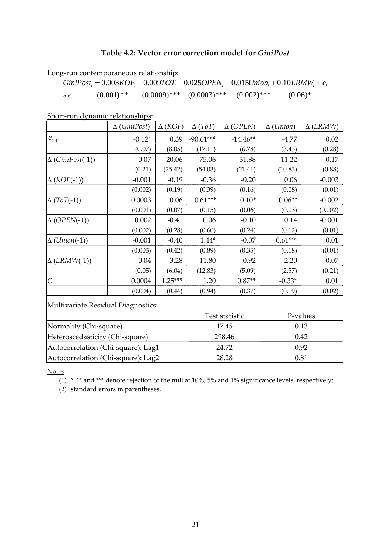#### **Table 4.2: Vector error correction model for** *GiniPost*

|     | <u>Long-run contemporaneous relationship:</u>                                   |                                             |           |
|-----|---------------------------------------------------------------------------------|---------------------------------------------|-----------|
|     | $GiniPost$ , = 0.003 $KOF$ , -0.009TOT, -0.025OPEN, -0.015Union, +0.10LRMW, +e. |                                             |           |
| s.e | $(0.001)$ **                                                                    | $(0.0009)$ *** $(0.0003)$ *** $(0.002)$ *** | $(0.06)*$ |

Short-run dynamic relationships:

|                                     | $\Delta$ (GiniPost)             | $\Delta$ (KOF) | $\Delta(ToT)$ | $\Delta$ (OPEN) | $\Delta$ ( <i>Union</i> ) | $\Delta$ (LRMW) |  |
|-------------------------------------|---------------------------------|----------------|---------------|-----------------|---------------------------|-----------------|--|
| $\boldsymbol{e}_{\boldsymbol{t}-1}$ | $-0.12*$                        | 0.39           | $-90.61***$   | $-14.46**$      | $-4.77$                   | 0.02            |  |
|                                     | (0.07)                          | (8.05)         | (17.11)       | (6.78)          | (3.43)                    | (0.28)          |  |
| $\Delta$ (GiniPost(-1))             | $-0.07$                         | $-20.06$       | $-75.06$      | $-31.88$        | $-11.22$                  | $-0.17$         |  |
|                                     | (0.21)                          | (25.42)        | (54.03)       | (21.41)         | (10.83)                   | (0.88)          |  |
| $\Delta$ (KOF(-1))                  | $-0.001$                        | $-0.19$        | $-0.36$       | $-0.20$         | 0.06                      | $-0.003$        |  |
|                                     | (0.002)                         | (0.19)         | (0.39)        | (0.16)          | (0.08)                    | (0.01)          |  |
| $\Delta(ToT(-1))$                   | 0.0003                          | 0.06           | $0.61***$     | $0.10*$         | $0.06**$                  | $-0.002$        |  |
|                                     | (0.001)                         | (0.07)         | (0.15)        | (0.06)          | (0.03)                    | (0.002)         |  |
| $\Delta$ (OPEN(-1))                 | 0.002                           | $-0.41$        | 0.06          | $-0.10$         | 0.14                      | $-0.001$        |  |
|                                     | (0.002)                         | (0.28)         | (0.60)        | (0.24)          | (0.12)                    | (0.01)          |  |
| $\Delta$ ( <i>Union</i> (-1))       | $-0.001$                        | $-0.40$        | $1.44*$       | $-0.07$         | $0.61***$                 | 0.01            |  |
|                                     | (0.003)                         | (0.42)         | (0.89)        | (0.35)          | (0.18)                    | (0.01)          |  |
| $\Delta$ (LRMW(-1))                 | 0.04                            | 3.28           | 11.80         | 0.92            | $-2.20$                   | 0.07            |  |
|                                     | (0.05)                          | (6.04)         | (12.83)       | (5.09)          | (2.57)                    | (0.21)          |  |
| $\overline{C}$                      | 0.0004                          | $1.25***$      | 1.20          | $0.87**$        | $-0.33*$                  | 0.01            |  |
|                                     | (0.004)                         | (0.44)         | (0.94)        | (0.37)          | (0.19)                    | (0.02)          |  |
| Multivariate Residual Diagnostics:  |                                 |                |               |                 |                           |                 |  |
|                                     |                                 | Test statistic |               | P-values        |                           |                 |  |
| Normality (Chi-square)              |                                 |                |               | 17.45           |                           | 0.13            |  |
|                                     | Heteroscedasticity (Chi-square) |                |               | 298.46          |                           | 0.42            |  |
| Autocorrelation (Chi-square): Lag1  |                                 |                |               | 24.72           |                           | 0.92            |  |
| Autocorrelation (Chi-square): Lag2  |                                 |                |               | 28.28           |                           | 0.81            |  |

Notes:

(1) \*, \*\* and \*\*\* denote rejection of the null at 10%, 5% and 1% significance levels, respectively;

(2) standard errors in parentheses.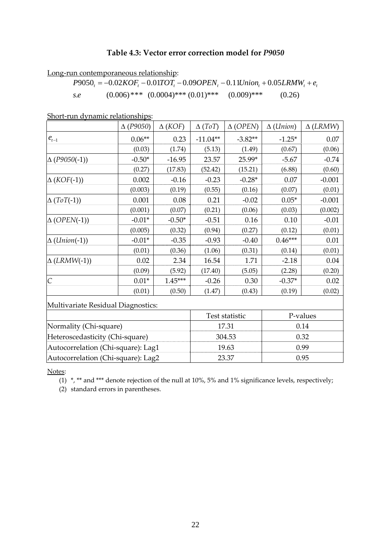#### **Table 4.3: Vector error correction model for** *P9050*

Long-run contemporaneous relationship:

$$
P9050_t = -0.02KOF_t - 0.01TOT_t - 0.09OPEN_t - 0.11Union_t + 0.05LRMW_t + e_t
$$
  
s.e. (0.006)\*\*\* (0.0004)\*\*\* (0.01)\*\*\* (0.009)\*\*\* (0.26)

Short-run dynamic relationships:

|                                    | $\Delta$ (P9050) | $\Delta$ (KOF) | $\Delta(ToT)$ | $\Delta$ (OPEN) | $\Delta$ ( <i>Union</i> ) | $\Delta$ (LRMW) |
|------------------------------------|------------------|----------------|---------------|-----------------|---------------------------|-----------------|
| $e_{t-1}$                          | $0.06**$         | 0.23           | $-11.04**$    | $-3.82**$       | $-1.25*$                  | 0.07            |
|                                    | (0.03)           | (1.74)         | (5.13)        | (1.49)          | (0.67)                    | (0.06)          |
| $\Delta (P9050(-1))$               | $-0.50*$         | $-16.95$       | 23.57         | 25.99*          | $-5.67$                   | $-0.74$         |
|                                    | (0.27)           | (17.83)        | (52.42)       | (15.21)         | (6.88)                    | (0.60)          |
| $\Delta$ (KOF(-1))                 | 0.002            | $-0.16$        | $-0.23$       | $-0.28*$        | 0.07                      | $-0.001$        |
|                                    | (0.003)          | (0.19)         | (0.55)        | (0.16)          | (0.07)                    | (0.01)          |
| $\Delta (ToT(-1))$                 | 0.001            | 0.08           | 0.21          | $-0.02$         | $0.05*$                   | $-0.001$        |
|                                    | (0.001)          | (0.07)         | (0.21)        | (0.06)          | (0.03)                    | (0.002)         |
| $\Delta$ (OPEN(-1))                | $-0.01*$         | $-0.50*$       | $-0.51$       | 0.16            | 0.10                      | $-0.01$         |
|                                    | (0.005)          | (0.32)         | (0.94)        | (0.27)          | (0.12)                    | (0.01)          |
| $\Delta$ ( <i>Union</i> (-1))      | $-0.01*$         | $-0.35$        | $-0.93$       | $-0.40$         | $0.46***$                 | 0.01            |
|                                    | (0.01)           | (0.36)         | (1.06)        | (0.31)          | (0.14)                    | (0.01)          |
| $\Delta$ (LRMW(-1))                | 0.02             | 2.34           | 16.54         | 1.71            | $-2.18$                   | 0.04            |
|                                    | (0.09)           | (5.92)         | (17.40)       | (5.05)          | (2.28)                    | (0.20)          |
| $\overline{C}$                     | $0.01*$          | $1.45***$      | $-0.26$       | 0.30            | $-0.37*$                  | 0.02            |
|                                    | (0.01)           | (0.50)         | (1.47)        | (0.43)          | (0.19)                    | (0.02)          |
| Multivariate Residual Diagnostics: |                  |                |               |                 |                           |                 |
|                                    | Test statistic   |                |               | P-values        |                           |                 |
| Normality (Chi-square)             |                  |                |               | 17.31           | 0.14                      |                 |
| Heteroscedasticity (Chi-square)    |                  |                | 304.53        |                 | 0.32                      |                 |
| Autocorrelation (Chi-square): Lag1 |                  |                |               | 19.63           | 0.99                      |                 |
| Autocorrelation (Chi-square): Lag2 |                  |                | 23.37         |                 | 0.95                      |                 |

Notes:

 $\overline{(1)}$  \*, \*\* and \*\*\* denote rejection of the null at 10%, 5% and 1% significance levels, respectively;

(2) standard errors in parentheses.